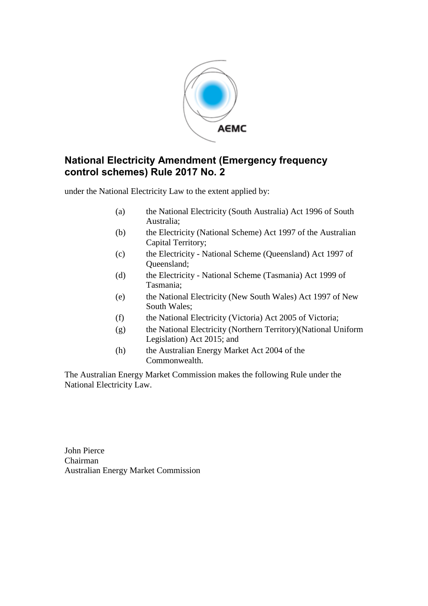

## **National Electricity Amendment (Emergency frequency control schemes) Rule 2017 No. 2**

under the National Electricity Law to the extent applied by:

- (a) the National Electricity (South Australia) Act 1996 of South Australia;
- (b) the Electricity (National Scheme) Act 1997 of the Australian Capital Territory;
- (c) the Electricity National Scheme (Queensland) Act 1997 of Queensland;
- (d) the Electricity National Scheme (Tasmania) Act 1999 of Tasmania;
- (e) the National Electricity (New South Wales) Act 1997 of New South Wales;
- (f) the National Electricity (Victoria) Act 2005 of Victoria;
- (g) the National Electricity (Northern Territory)(National Uniform Legislation) Act 2015; and
- (h) the Australian Energy Market Act 2004 of the Commonwealth.

The Australian Energy Market Commission makes the following Rule under the National Electricity Law.

John Pierce Chairman Australian Energy Market Commission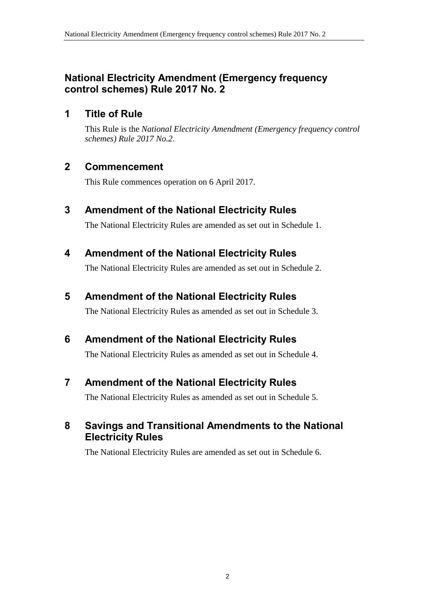## **National Electricity Amendment (Emergency frequency control schemes) Rule 2017 No. 2**

## **1 Title of Rule**

This Rule is the *National Electricity Amendment (Emergency frequency control schemes) Rule 2017 No.2*.

## **2 Commencement**

This Rule commences operation on 6 April 2017.

## <span id="page-1-0"></span>**3 Amendment of the National Electricity Rules**

The National Electricity Rules are amended as set out in [Schedule 1.](#page-2-0)

## <span id="page-1-1"></span>**4 Amendment of the National Electricity Rules**

The National Electricity Rules are amended as set out in [Schedule 2.](#page-3-0)

## <span id="page-1-2"></span>**5 Amendment of the National Electricity Rules**

The National Electricity Rules as amended as set out in [Schedule 3.](#page-8-0)

## <span id="page-1-3"></span>**6 Amendment of the National Electricity Rules**

The National Electricity Rules as amended as set out in [Schedule 4.](#page-19-0)

# <span id="page-1-4"></span>**7 Amendment of the National Electricity Rules**

The National Electricity Rules as amended as set out in [Schedule 5.](#page-22-0)

## <span id="page-1-5"></span>**8 Savings and Transitional Amendments to the National Electricity Rules**

The National Electricity Rules are amended as set out in [Schedule 6.](#page-24-0)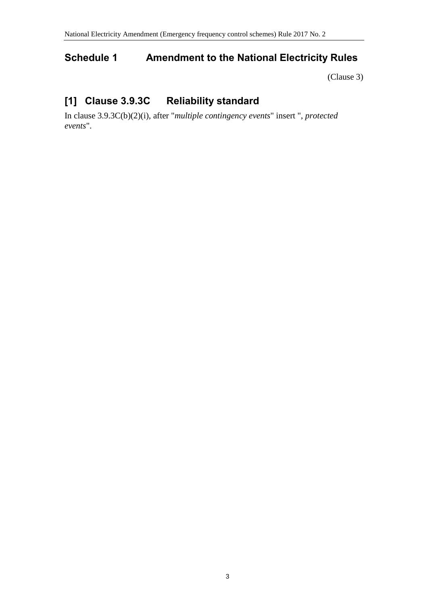## <span id="page-2-0"></span>**Schedule 1 Amendment to the National Electricity Rules**

[\(Clause 3\)](#page-1-0)

# **[1] Clause 3.9.3C Reliability standard**

In clause 3.9.3C(b)(2)(i), after "*multiple contingency events*" insert ", *protected events*".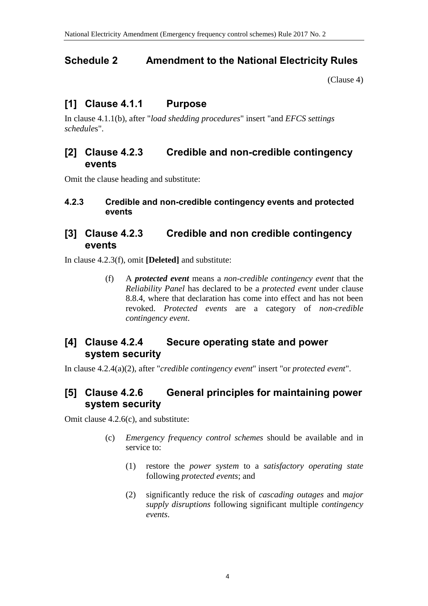## <span id="page-3-0"></span>**Schedule 2 Amendment to the National Electricity Rules**

[\(Clause 4\)](#page-1-1)

## **[1] Clause 4.1.1 Purpose**

In clause 4.1.1(b), after "*load shedding procedures*" insert "and *EFCS settings schedule*s".

### **[2] Clause 4.2.3 Credible and non-credible contingency events**

Omit the clause heading and substitute:

#### **4.2.3 Credible and non-credible contingency events and protected events**

## **[3] Clause 4.2.3 Credible and non credible contingency events**

In clause 4.2.3(f), omit **[Deleted]** and substitute:

(f) A *protected event* means a *non-credible contingency event* that the *Reliability Panel* has declared to be a *protected event* under clause 8.8.4, where that declaration has come into effect and has not been revoked. *Protected events* are a category of *non-credible contingency event*.

## **[4] Clause 4.2.4 Secure operating state and power system security**

In clause 4.2.4(a)(2), after "*credible contingency event*" insert "or *protected event*".

## **[5] Clause 4.2.6 General principles for maintaining power system security**

Omit clause 4.2.6(c), and substitute:

- (c) *Emergency frequency control schemes* should be available and in service to:
	- (1) restore the *power system* to a *satisfactory operating state* following *protected events*; and
	- (2) significantly reduce the risk of *cascading outages* and *major supply disruptions* following significant multiple *contingency events*.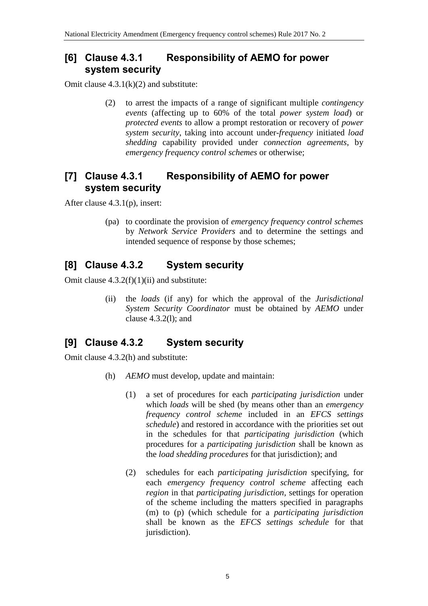## **[6] Clause 4.3.1 Responsibility of AEMO for power system security**

Omit clause  $4.3.1(k)(2)$  and substitute:

(2) to arrest the impacts of a range of significant multiple *contingency events* (affecting up to 60% of the total *power system load*) or *protected events* to allow a prompt restoration or recovery of *power system security*, taking into account under-*frequency* initiated *load shedding* capability provided under *connection agreements*, by *emergency frequency control schemes* or otherwise;

## **[7] Clause 4.3.1 Responsibility of AEMO for power system security**

After clause 4.3.1(p), insert:

(pa) to coordinate the provision of *emergency frequency control schemes* by *Network Service Providers* and to determine the settings and intended sequence of response by those schemes;

# **[8] Clause 4.3.2 System security**

Omit clause  $4.3.2(f)(1)(ii)$  and substitute:

(ii) the *loads* (if any) for which the approval of the *Jurisdictional System Security Coordinator* must be obtained by *AEMO* under clause 4.3.2(l); and

# **[9] Clause 4.3.2 System security**

Omit clause 4.3.2(h) and substitute:

- (h) *AEMO* must develop, update and maintain:
	- (1) a set of procedures for each *participating jurisdiction* under which *loads* will be shed (by means other than an *emergency frequency control scheme* included in an *EFCS settings schedule*) and restored in accordance with the priorities set out in the schedules for that *participating jurisdiction* (which procedures for a *participating jurisdiction* shall be known as the *load shedding procedures* for that jurisdiction); and
	- (2) schedules for each *participating jurisdiction* specifying, for each *emergency frequency control scheme* affecting each *region* in that *participating jurisdiction*, settings for operation of the scheme including the matters specified in paragraphs (m) to (p) (which schedule for a *participating jurisdiction* shall be known as the *EFCS settings schedule* for that jurisdiction).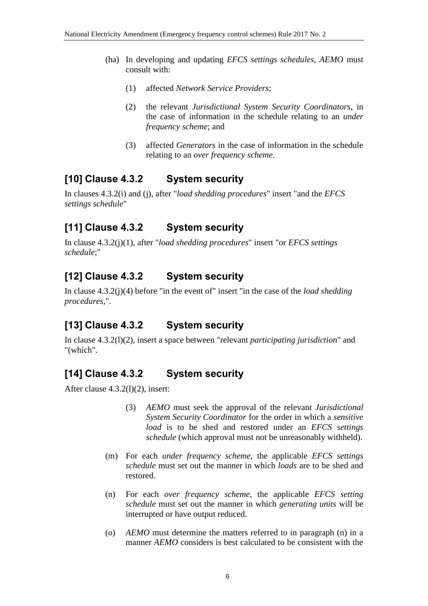- (ha) In developing and updating *EFCS settings schedules*, *AEMO* must consult with:
	- (1) affected *Network Service Providers*;
	- (2) the relevant *Jurisdictional System Security Coordinators*, in the case of information in the schedule relating to an *under frequency scheme*; and
	- (3) affected *Generators* in the case of information in the schedule relating to an *over frequency scheme*.

### **[10] Clause 4.3.2 System security**

In clauses 4.3.2(i) and (j), after "*load shedding procedures*" insert "and the *EFCS settings schedule*"

### **[11] Clause 4.3.2 System security**

In clause 4.3.2(j)(1), after "*load shedding procedures*" insert "or *EFCS settings schedule*;"

### **[12] Clause 4.3.2 System security**

In clause 4.3.2(j)(4) before "in the event of" insert "in the case of the *load shedding procedures*,".

## **[13] Clause 4.3.2 System security**

In clause 4.3.2(l)(2), insert a space between "relevant *participating jurisdiction*" and "(which".

## **[14] Clause 4.3.2 System security**

After clause 4.3.2(l)(2), insert:

- (3) *AEMO* must seek the approval of the relevant *Jurisdictional System Security Coordinator* for the order in which a *sensitive load* is to be shed and restored under an *EFCS settings schedule* (which approval must not be unreasonably withheld).
- (m) For each *under frequency scheme*, the applicable *EFCS settings schedule* must set out the manner in which *loads* are to be shed and restored.
- (n) For each *over frequency scheme*, the applicable *EFCS setting schedule* must set out the manner in which *generating units* will be interrupted or have output reduced.
- (o) *AEMO* must determine the matters referred to in paragraph (n) in a manner *AEMO* considers is best calculated to be consistent with the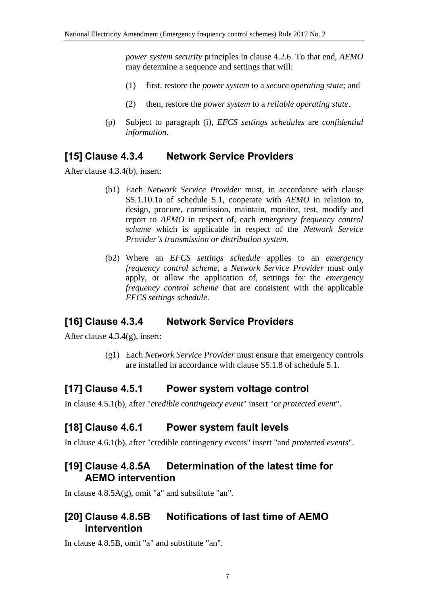*power system security* principles in clause 4.2.6. To that end, *AEMO* may determine a sequence and settings that will:

- (1) first, restore the *power system* to a *secure operating state*; and
- (2) then, restore the *power system* to a *reliable operating state*.
- (p) Subject to paragraph (i), *EFCS settings schedules* are *confidential information*.

## **[15] Clause 4.3.4 Network Service Providers**

After clause 4.3.4(b), insert:

- (b1) Each *Network Service Provider* must, in accordance with clause S5.1.10.1a of schedule 5.1, cooperate with *AEMO* in relation to, design, procure, commission, maintain, monitor, test, modify and report to *AEMO* in respect of, each *emergency frequency control scheme* which is applicable in respect of the *Network Service Provider's transmission or distribution system*.
- (b2) Where an *EFCS settings schedule* applies to an *emergency frequency control scheme*, a *Network Service Provider* must only apply, or allow the application of, settings for the *emergency frequency control scheme* that are consistent with the applicable *EFCS settings schedule*.

## **[16] Clause 4.3.4 Network Service Providers**

After clause 4.3.4(g), insert:

(g1) Each *Network Service Provider* must ensure that emergency controls are installed in accordance with clause S5.1.8 of schedule 5.1.

## **[17] Clause 4.5.1 Power system voltage control**

In clause 4.5.1(b), after "*credible contingency event*" insert "or *protected event*".

## **[18] Clause 4.6.1 Power system fault levels**

In clause 4.6.1(b), after "credible contingency events" insert "and *protected events*".

### **[19] Clause 4.8.5A Determination of the latest time for AEMO intervention**

In clause  $4.8.5A(g)$ , omit "a" and substitute "an".

### **[20] Clause 4.8.5B Notifications of last time of AEMO intervention**

In clause 4.8.5B, omit "a" and substitute "an".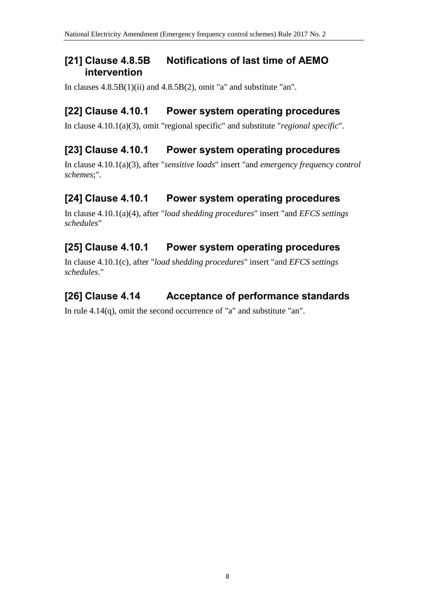## **[21] Clause 4.8.5B Notifications of last time of AEMO intervention**

In clauses  $4.8.5B(1)(ii)$  and  $4.8.5B(2)$ , omit "a" and substitute "an".

# **[22] Clause 4.10.1 Power system operating procedures**

In clause 4.10.1(a)(3), omit "regional specific" and substitute "*regional specific*".

# **[23] Clause 4.10.1 Power system operating procedures**

In clause 4.10.1(a)(3), after "*sensitive loads*" insert "and *emergency frequency control schemes*;".

# **[24] Clause 4.10.1 Power system operating procedures**

In clause 4.10.1(a)(4), after "*load shedding procedures*" insert "and *EFCS settings schedules*"

# **[25] Clause 4.10.1 Power system operating procedures**

In clause 4.10.1(c), after "*load shedding procedures*" insert "and *EFCS settings schedules*."

# **[26] Clause 4.14 Acceptance of performance standards**

In rule 4.14(q), omit the second occurrence of "a" and substitute "an".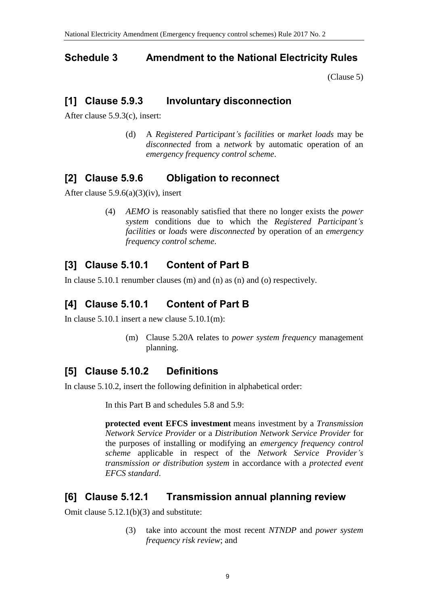## <span id="page-8-0"></span>**Schedule 3 Amendment to the National Electricity Rules**

[\(Clause 5\)](#page-1-2)

## **[1] Clause 5.9.3 Involuntary disconnection**

After clause 5.9.3(c), insert:

(d) A *Registered Participant's facilities* or *market loads* may be *disconnected* from a *network* by automatic operation of an *emergency frequency control scheme*.

## **[2] Clause 5.9.6 Obligation to reconnect**

After clause  $5.9.6(a)(3)(iv)$ , insert

(4) *AEMO* is reasonably satisfied that there no longer exists the *power system* conditions due to which the *Registered Participant's facilities* or *loads* were *disconnected* by operation of an *emergency frequency control scheme*.

# **[3] Clause 5.10.1 Content of Part B**

In clause 5.10.1 renumber clauses (m) and (n) as (n) and (o) respectively.

# **[4] Clause 5.10.1 Content of Part B**

In clause 5.10.1 insert a new clause 5.10.1(m):

(m) Clause 5.20A relates to *power system frequency* management planning.

## **[5] Clause 5.10.2 Definitions**

In clause 5.10.2, insert the following definition in alphabetical order:

In this Part B and schedules 5.8 and 5.9:

**protected event EFCS investment** means investment by a *Transmission Network Service Provider* or a *Distribution Network Service Provider* for the purposes of installing or modifying an *emergency frequency control scheme* applicable in respect of the *Network Service Provider's transmission or distribution system* in accordance with a *protected event EFCS standard*.

## **[6] Clause 5.12.1 Transmission annual planning review**

Omit clause 5.12.1(b)(3) and substitute:

(3) take into account the most recent *NTNDP* and *power system frequency risk review*; and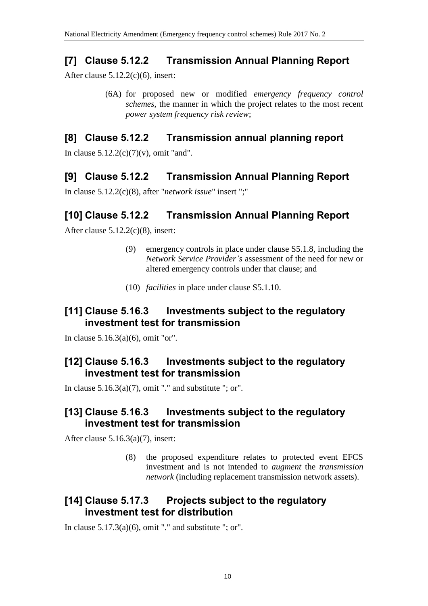## **[7] Clause 5.12.2 Transmission Annual Planning Report**

After clause 5.12.2(c)(6), insert:

(6A) for proposed new or modified *emergency frequency control schemes*, the manner in which the project relates to the most recent *power system frequency risk review*;

### **[8] Clause 5.12.2 Transmission annual planning report**

In clause  $5.12.2(c)(7)(v)$ , omit "and".

## **[9] Clause 5.12.2 Transmission Annual Planning Report**

In clause 5.12.2(c)(8), after "*network issue*" insert ";"

## **[10] Clause 5.12.2 Transmission Annual Planning Report**

After clause 5.12.2(c)(8), insert:

- (9) emergency controls in place under clause S5.1.8, including the *Network Service Provider's* assessment of the need for new or altered emergency controls under that clause; and
- (10) *facilities* in place under clause S5.1.10.

## **[11] Clause 5.16.3 Investments subject to the regulatory investment test for transmission**

In clause 5.16.3(a)(6), omit "or".

## **[12] Clause 5.16.3 Investments subject to the regulatory investment test for transmission**

In clause  $5.16.3(a)(7)$ , omit "." and substitute "; or".

### **[13] Clause 5.16.3 Investments subject to the regulatory investment test for transmission**

After clause  $5.16.3(a)(7)$ , insert:

(8) the proposed expenditure relates to protected event EFCS investment and is not intended to *augment* the *transmission network* (including replacement transmission network assets).

## **[14] Clause 5.17.3 Projects subject to the regulatory investment test for distribution**

In clause  $5.17.3(a)(6)$ , omit "." and substitute "; or".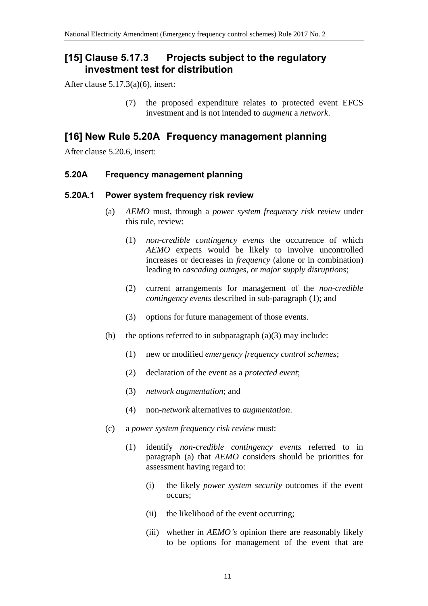## **[15] Clause 5.17.3 Projects subject to the regulatory investment test for distribution**

After clause 5.17.3(a)(6), insert:

(7) the proposed expenditure relates to protected event EFCS investment and is not intended to *augment* a *network*.

### **[16] New Rule 5.20A Frequency management planning**

After clause 5.20.6, insert:

#### **5.20A Frequency management planning**

#### **5.20A.1 Power system frequency risk review**

- (a) *AEMO* must, through a *power system frequency risk review* under this rule, review:
	- (1) *non-credible contingency events* the occurrence of which *AEMO* expects would be likely to involve uncontrolled increases or decreases in *frequency* (alone or in combination) leading to *cascading outages*, or *major supply disruptions*;
	- (2) current arrangements for management of the *non-credible contingency events* described in sub-paragraph (1); and
	- (3) options for future management of those events.
- (b) the options referred to in subparagraph  $(a)(3)$  may include:
	- (1) new or modified *emergency frequency control schemes*;
	- (2) declaration of the event as a *protected event*;
	- (3) *network augmentation*; and
	- (4) non-*network* alternatives to *augmentation*.
- (c) a *power system frequency risk review* must:
	- (1) identify *non-credible contingency events* referred to in paragraph (a) that *AEMO* considers should be priorities for assessment having regard to:
		- (i) the likely *power system security* outcomes if the event occurs;
		- (ii) the likelihood of the event occurring;
		- (iii) whether in *AEMO's* opinion there are reasonably likely to be options for management of the event that are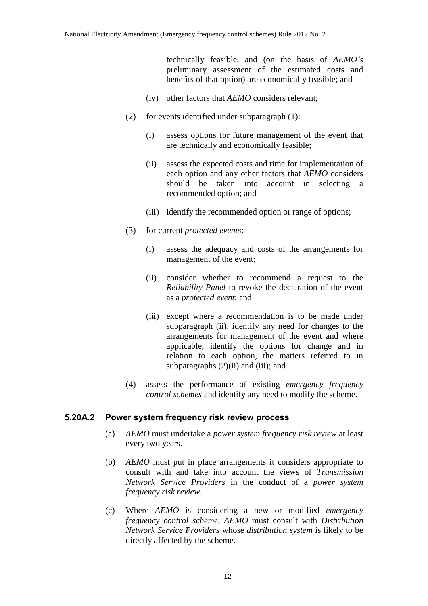technically feasible, and (on the basis of *AEMO's* preliminary assessment of the estimated costs and benefits of that option) are economically feasible; and

- (iv) other factors that *AEMO* considers relevant;
- (2) for events identified under subparagraph (1):
	- (i) assess options for future management of the event that are technically and economically feasible;
	- (ii) assess the expected costs and time for implementation of each option and any other factors that *AEMO* considers should be taken into account in selecting a recommended option; and
	- (iii) identify the recommended option or range of options;
- (3) for current *protected events*:
	- (i) assess the adequacy and costs of the arrangements for management of the event;
	- (ii) consider whether to recommend a request to the *Reliability Panel* to revoke the declaration of the event as a *protected event*; and
	- (iii) except where a recommendation is to be made under subparagraph (ii), identify any need for changes to the arrangements for management of the event and where applicable, identify the options for change and in relation to each option, the matters referred to in subparagraphs  $(2)(ii)$  and  $(iii)$ ; and
- (4) assess the performance of existing *emergency frequency control schemes* and identify any need to modify the scheme.

#### **5.20A.2 Power system frequency risk review process**

- (a) *AEMO* must undertake a *power system frequency risk review* at least every two years.
- (b) *AEMO* must put in place arrangements it considers appropriate to consult with and take into account the views of *Transmission Network Service Providers* in the conduct of a *power system frequency risk review*.
- (c) Where *AEMO* is considering a new or modified *emergency frequency control scheme*, *AEMO* must consult with *Distribution Network Service Providers* whose *distribution system* is likely to be directly affected by the scheme.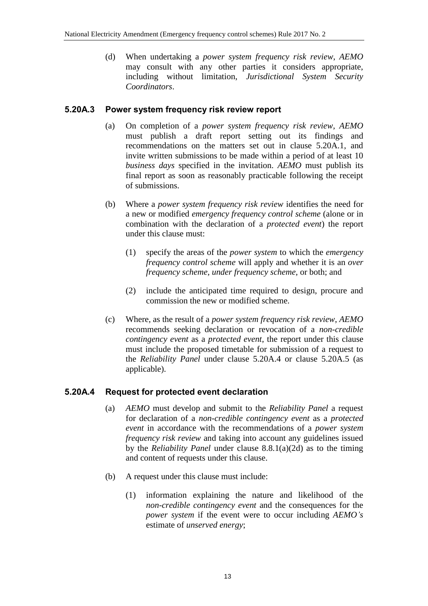(d) When undertaking a *power system frequency risk review*, *AEMO* may consult with any other parties it considers appropriate, including without limitation, *Jurisdictional System Security Coordinators*.

#### **5.20A.3 Power system frequency risk review report**

- (a) On completion of a *power system frequency risk review*, *AEMO* must publish a draft report setting out its findings and recommendations on the matters set out in clause 5.20A.1, and invite written submissions to be made within a period of at least 10 *business days* specified in the invitation. *AEMO* must publish its final report as soon as reasonably practicable following the receipt of submissions.
- (b) Where a *power system frequency risk review* identifies the need for a new or modified *emergency frequency control scheme* (alone or in combination with the declaration of a *protected event*) the report under this clause must:
	- (1) specify the areas of the *power system* to which the *emergency frequency control scheme* will apply and whether it is an *over frequency scheme*, *under frequency scheme*, or both; and
	- (2) include the anticipated time required to design, procure and commission the new or modified scheme.
- (c) Where, as the result of a *power system frequency risk review*, *AEMO* recommends seeking declaration or revocation of a *non-credible contingency event* as a *protected event*, the report under this clause must include the proposed timetable for submission of a request to the *Reliability Panel* under clause 5.20A.4 or clause 5.20A.5 (as applicable).

### **5.20A.4 Request for protected event declaration**

- (a) *AEMO* must develop and submit to the *Reliability Panel* a request for declaration of a *non-credible contingency event* as a *protected event* in accordance with the recommendations of a *power system frequency risk review* and taking into account any guidelines issued by the *Reliability Panel* under clause 8.8.1(a)(2d) as to the timing and content of requests under this clause.
- (b) A request under this clause must include:
	- (1) information explaining the nature and likelihood of the *non-credible contingency event* and the consequences for the *power system* if the event were to occur including *AEMO's* estimate of *unserved energy*;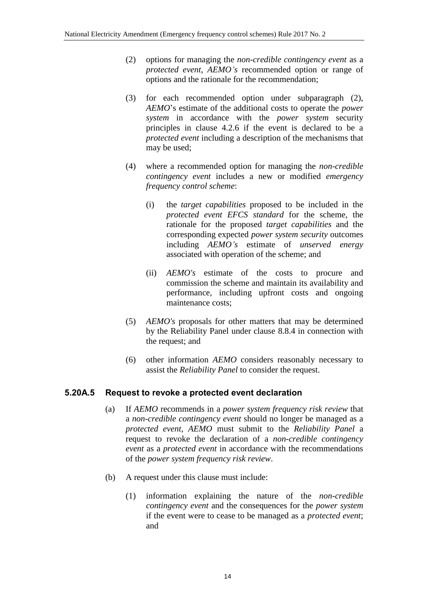- (2) options for managing the *non-credible contingency event* as a *protected event*, *AEMO's* recommended option or range of options and the rationale for the recommendation;
- (3) for each recommended option under subparagraph (2), *AEMO*'s estimate of the additional costs to operate the *power system* in accordance with the *power system* security principles in clause 4.2.6 if the event is declared to be a *protected event* including a description of the mechanisms that may be used;
- (4) where a recommended option for managing the *non-credible contingency event* includes a new or modified *emergency frequency control scheme*:
	- (i) the *target capabilities* proposed to be included in the *protected event EFCS standard* for the scheme, the rationale for the proposed *target capabilities* and the corresponding expected *power system security* outcomes including *AEMO's* estimate of *unserved energy* associated with operation of the scheme; and
	- (ii) *AEMO's* estimate of the costs to procure and commission the scheme and maintain its availability and performance, including upfront costs and ongoing maintenance costs;
- (5) *AEMO's* proposals for other matters that may be determined by the Reliability Panel under clause 8.8.4 in connection with the request; and
- (6) other information *AEMO* considers reasonably necessary to assist the *Reliability Panel* to consider the request.

#### **5.20A.5 Request to revoke a protected event declaration**

- (a) If *AEMO* recommends in a *power system frequency risk review* that a *non-credible contingency event* should no longer be managed as a *protected event*, *AEMO* must submit to the *Reliability Panel* a request to revoke the declaration of a *non-credible contingency event* as a *protected event* in accordance with the recommendations of the *power system frequency risk review*.
- (b) A request under this clause must include:
	- (1) information explaining the nature of the *non-credible contingency event* and the consequences for the *power system* if the event were to cease to be managed as a *protected event*; and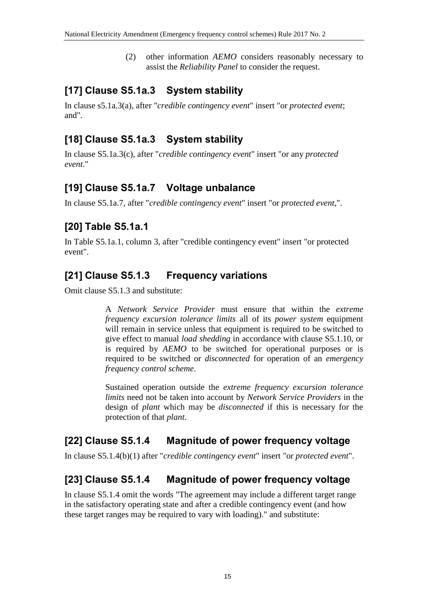(2) other information *AEMO* considers reasonably necessary to assist the *Reliability Panel* to consider the request.

## **[17] Clause S5.1a.3 System stability**

In clause s5.1a.3(a), after "*credible contingency event*" insert "or *protected event*; and".

## **[18] Clause S5.1a.3 System stability**

In clause S5.1a.3(c), after "*credible contingency event*" insert "or any *protected event*."

## **[19] Clause S5.1a.7 Voltage unbalance**

In clause S5.1a.7, after "*credible contingency event*" insert "or *protected event*,".

# **[20] Table S5.1a.1**

In Table S5.1a.1, column 3, after "credible contingency event" insert "or protected event".

## **[21] Clause S5.1.3 Frequency variations**

Omit clause S5.1.3 and substitute:

A *Network Service Provider* must ensure that within the *extreme frequency excursion tolerance limits* all of its *power system* equipment will remain in service unless that equipment is required to be switched to give effect to manual *load shedding* in accordance with clause S5.1.10, or is required by *AEMO* to be switched for operational purposes or is required to be switched or *disconnected* for operation of an *emergency frequency control scheme*.

Sustained operation outside the *extreme frequency excursion tolerance limits* need not be taken into account by *Network Service Providers* in the design of *plant* which may be *disconnected* if this is necessary for the protection of that *plant*.

## **[22] Clause S5.1.4 Magnitude of power frequency voltage**

In clause S5.1.4(b)(1) after "*credible contingency event*" insert "or *protected event*".

## **[23] Clause S5.1.4 Magnitude of power frequency voltage**

In clause S5.1.4 omit the words "The agreement may include a different target range in the satisfactory operating state and after a credible contingency event (and how these target ranges may be required to vary with loading)." and substitute: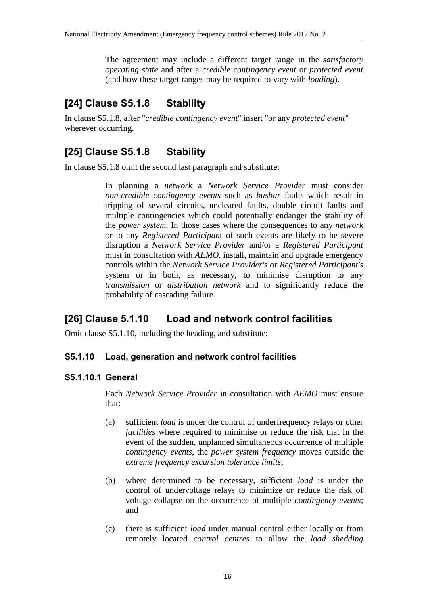The agreement may include a different target range in the *satisfactory operating state* and after a *credible contingency event* or *protected event* (and how these target ranges may be required to vary with *loading*).

# **[24] Clause S5.1.8 Stability**

In clause S5.1.8, after "*credible contingency event*" insert "or any *protected event*" wherever occurring.

# **[25] Clause S5.1.8 Stability**

In clause S5.1.8 omit the second last paragraph and substitute:

In planning a *network* a *Network Service Provider* must consider *non-credible contingency events* such as *busbar* faults which result in tripping of several circuits, uncleared faults, double circuit faults and multiple contingencies which could potentially endanger the stability of the *power system*. In those cases where the consequences to any *network* or to any *Registered Participan*t of such events are likely to be severe disruption a *Network Service Provider* and/or a *Registered Participant* must in consultation with *AEMO*, install, maintain and upgrade emergency controls within the *Network Service Provider's* or *Registered Participant's* system or in both, as necessary, to minimise disruption to any *transmission* or *distribution network* and to significantly reduce the probability of cascading failure.

## **[26] Clause 5.1.10 Load and network control facilities**

Omit clause S5.1.10, including the heading, and substitute:

#### **S5.1.10 Load, generation and network control facilities**

### **S5.1.10.1 General**

Each *Network Service Provider* in consultation with *AEMO* must ensure that:

- (a) sufficient *load* is under the control of underfrequency relays or other *facilities* where required to minimise or reduce the risk that in the event of the sudden, unplanned simultaneous occurrence of multiple *contingency events*, the *power system frequency* moves outside the *extreme frequency excursion tolerance limits*;
- (b) where determined to be necessary, sufficient *load* is under the control of undervoltage relays to minimize or reduce the risk of voltage collapse on the occurrence of multiple *contingency events*; and
- (c) there is sufficient *load* under manual control either locally or from remotely located *control centres* to allow the *load shedding*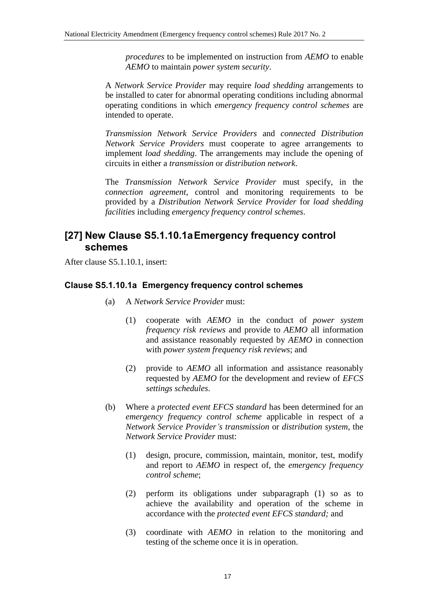*procedures* to be implemented on instruction from *AEMO* to enable *AEMO* to maintain *power system security*.

A *Network Service Provider* may require *load shedding* arrangements to be installed to cater for abnormal operating conditions including abnormal operating conditions in which *emergency frequency control schemes* are intended to operate.

*Transmission Network Service Providers* and *connected Distribution Network Service Providers* must cooperate to agree arrangements to implement *load shedding*. The arrangements may include the opening of circuits in either a *transmission* or *distribution network*.

The *Transmission Network Service Provider* must specify, in the *connection agreement*, control and monitoring requirements to be provided by a *Distribution Network Service Provider* for *load shedding facilities* including *emergency frequency control schemes*.

## **[27] New Clause S5.1.10.1aEmergency frequency control schemes**

After clause S5.1.10.1, insert:

#### **Clause S5.1.10.1a Emergency frequency control schemes**

- (a) A *Network Service Provider* must:
	- (1) cooperate with *AEMO* in the conduct of *power system frequency risk reviews* and provide to *AEMO* all information and assistance reasonably requested by *AEMO* in connection with *power system frequency risk reviews*; and
	- (2) provide to *AEMO* all information and assistance reasonably requested by *AEMO* for the development and review of *EFCS settings schedules*.
- (b) Where a *protected event EFCS standard* has been determined for an *emergency frequency control scheme* applicable in respect of a *Network Service Provider's transmission* or *distribution system*, the *Network Service Provider* must:
	- (1) design, procure, commission, maintain, monitor, test, modify and report to *AEMO* in respect of, the *emergency frequency control scheme*;
	- (2) perform its obligations under subparagraph (1) so as to achieve the availability and operation of the scheme in accordance with the *protected event EFCS standard;* and
	- (3) coordinate with *AEMO* in relation to the monitoring and testing of the scheme once it is in operation.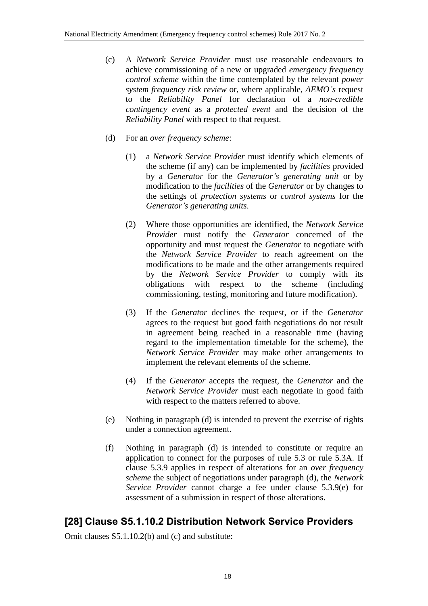- (c) A *Network Service Provider* must use reasonable endeavours to achieve commissioning of a new or upgraded *emergency frequency control scheme* within the time contemplated by the relevant *power system frequency risk review* or, where applicable, *AEMO's* request to the *Reliability Panel* for declaration of a *non-credible contingency event* as a *protected event* and the decision of the *Reliability Panel* with respect to that request.
- (d) For an *over frequency scheme*:
	- (1) a *Network Service Provider* must identify which elements of the scheme (if any) can be implemented by *facilities* provided by a *Generator* for the *Generator's generating unit* or by modification to the *facilities* of the *Generator* or by changes to the settings of *protection systems* or *control systems* for the *Generator's generating units*.
	- (2) Where those opportunities are identified, the *Network Service Provider* must notify the *Generator* concerned of the opportunity and must request the *Generator* to negotiate with the *Network Service Provider* to reach agreement on the modifications to be made and the other arrangements required by the *Network Service Provider* to comply with its obligations with respect to the scheme (including commissioning, testing, monitoring and future modification).
	- (3) If the *Generator* declines the request, or if the *Generator* agrees to the request but good faith negotiations do not result in agreement being reached in a reasonable time (having regard to the implementation timetable for the scheme), the *Network Service Provider* may make other arrangements to implement the relevant elements of the scheme.
	- (4) If the *Generator* accepts the request, the *Generator* and the *Network Service Provider* must each negotiate in good faith with respect to the matters referred to above.
- (e) Nothing in paragraph (d) is intended to prevent the exercise of rights under a connection agreement.
- (f) Nothing in paragraph (d) is intended to constitute or require an application to connect for the purposes of rule 5.3 or rule 5.3A. If clause 5.3.9 applies in respect of alterations for an *over frequency scheme* the subject of negotiations under paragraph (d), the *Network Service Provider* cannot charge a fee under clause 5.3.9(e) for assessment of a submission in respect of those alterations.

# **[28] Clause S5.1.10.2 Distribution Network Service Providers**

Omit clauses S5.1.10.2(b) and (c) and substitute: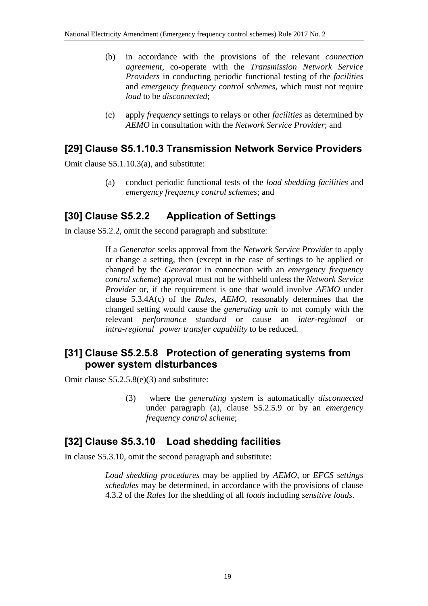- (b) in accordance with the provisions of the relevant *connection agreement*, co-operate with the *Transmission Network Service Providers* in conducting periodic functional testing of the *facilities* and *emergency frequency control schemes*, which must not require *load* to be *disconnected*;
- (c) apply *frequency* settings to relays or other *facilities* as determined by *AEMO* in consultation with the *Network Service Provider*; and

### **[29] Clause S5.1.10.3 Transmission Network Service Providers**

Omit clause S5.1.10.3(a), and substitute:

(a) conduct periodic functional tests of the *load shedding facilities* and *emergency frequency control schemes*; and

## **[30] Clause S5.2.2 Application of Settings**

In clause S5.2.2, omit the second paragraph and substitute:

If a *Generator* seeks approval from the *Network Service Provider* to apply or change a setting, then (except in the case of settings to be applied or changed by the *Generator* in connection with an *emergency frequency control scheme*) approval must not be withheld unless the *Network Service Provider* or, if the requirement is one that would involve *AEMO* under clause 5.3.4A(c) of the *Rules*, *AEMO*, reasonably determines that the changed setting would cause the *generating unit* to not comply with the relevant *performance standard* or cause an *inter-regional* or *intra-regional power transfer capability* to be reduced.

### **[31] Clause S5.2.5.8 Protection of generating systems from power system disturbances**

Omit clause S5.2.5.8(e)(3) and substitute:

(3) where the *generating system* is automatically *disconnected* under paragraph (a), clause S5.2.5.9 or by an *emergency frequency control scheme*;

### **[32] Clause S5.3.10 Load shedding facilities**

In clause S5.3.10, omit the second paragraph and substitute:

*Load shedding procedures* may be applied by *AEMO*, or *EFCS settings schedules* may be determined, in accordance with the provisions of clause 4.3.2 of the *Rules* for the shedding of all *loads* including *sensitive loads*.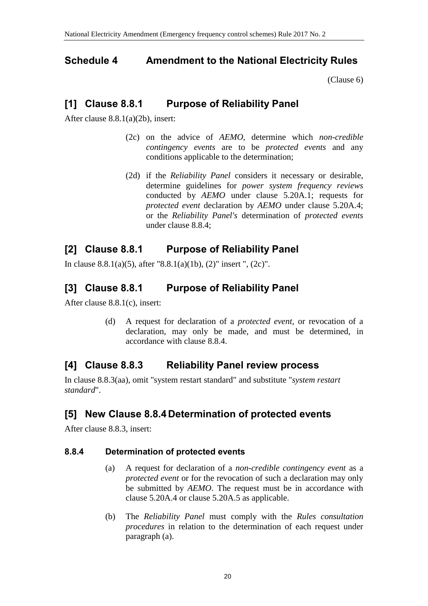### <span id="page-19-0"></span>**Schedule 4 Amendment to the National Electricity Rules**

[\(Clause 6\)](#page-1-3)

### **[1] Clause 8.8.1 Purpose of Reliability Panel**

After clause 8.8.1(a)(2b), insert:

- (2c) on the advice of *AEMO*, determine which *non-credible contingency events* are to be *protected events* and any conditions applicable to the determination;
- (2d) if the *Reliability Panel* considers it necessary or desirable, determine guidelines for *power system frequency reviews* conducted by *AEMO* under clause 5.20A.1; requests for *protected event* declaration by *AEMO* under clause 5.20A.4; or the *Reliability Panel's* determination of *protected events* under clause 8.8.4;

## **[2] Clause 8.8.1 Purpose of Reliability Panel**

In clause 8.8.1(a)(5), after "8.8.1(a)(1b), (2)" insert ", (2c)".

### **[3] Clause 8.8.1 Purpose of Reliability Panel**

After clause 8.8.1(c), insert:

(d) A request for declaration of a *protected event*, or revocation of a declaration, may only be made, and must be determined, in accordance with clause 8.8.4.

## **[4] Clause 8.8.3 Reliability Panel review process**

In clause 8.8.3(aa), omit "system restart standard" and substitute "*system restart standard*".

## **[5] New Clause 8.8.4 Determination of protected events**

After clause 8.8.3, insert:

### **8.8.4 Determination of protected events**

- (a) A request for declaration of a *non-credible contingency event* as a *protected event* or for the revocation of such a declaration may only be submitted by *AEMO*. The request must be in accordance with clause 5.20A.4 or clause 5.20A.5 as applicable.
- (b) The *Reliability Panel* must comply with the *Rules consultation procedures* in relation to the determination of each request under paragraph (a).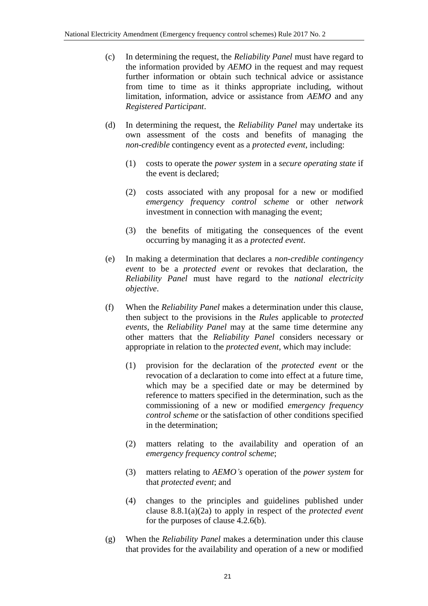- (c) In determining the request, the *Reliability Panel* must have regard to the information provided by *AEMO* in the request and may request further information or obtain such technical advice or assistance from time to time as it thinks appropriate including, without limitation, information, advice or assistance from *AEMO* and any *Registered Participant*.
- (d) In determining the request, the *Reliability Panel* may undertake its own assessment of the costs and benefits of managing the *non-credible* contingency event as a *protected event*, including:
	- (1) costs to operate the *power system* in a *secure operating state* if the event is declared;
	- (2) costs associated with any proposal for a new or modified *emergency frequency control scheme* or other *network* investment in connection with managing the event;
	- (3) the benefits of mitigating the consequences of the event occurring by managing it as a *protected event*.
- (e) In making a determination that declares a *non-credible contingency event* to be a *protected event* or revokes that declaration, the *Reliability Panel* must have regard to the *national electricity objective*.
- (f) When the *Reliability Panel* makes a determination under this clause, then subject to the provisions in the *Rules* applicable to *protected events*, the *Reliability Panel* may at the same time determine any other matters that the *Reliability Panel* considers necessary or appropriate in relation to the *protected event*, which may include:
	- (1) provision for the declaration of the *protected event* or the revocation of a declaration to come into effect at a future time, which may be a specified date or may be determined by reference to matters specified in the determination, such as the commissioning of a new or modified *emergency frequency control scheme* or the satisfaction of other conditions specified in the determination;
	- (2) matters relating to the availability and operation of an *emergency frequency control scheme*;
	- (3) matters relating to *AEMO's* operation of the *power system* for that *protected event*; and
	- (4) changes to the principles and guidelines published under clause 8.8.1(a)(2a) to apply in respect of the *protected event* for the purposes of clause 4.2.6(b).
- (g) When the *Reliability Panel* makes a determination under this clause that provides for the availability and operation of a new or modified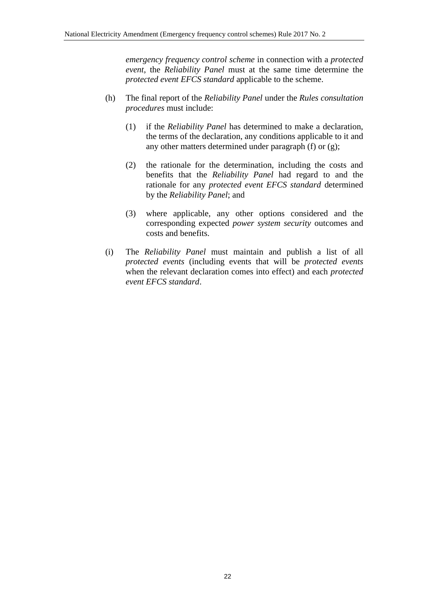*emergency frequency control scheme* in connection with a *protected event*, the *Reliability Panel* must at the same time determine the *protected event EFCS standard* applicable to the scheme.

- (h) The final report of the *Reliability Panel* under the *Rules consultation procedures* must include:
	- (1) if the *Reliability Panel* has determined to make a declaration, the terms of the declaration, any conditions applicable to it and any other matters determined under paragraph (f) or (g);
	- (2) the rationale for the determination, including the costs and benefits that the *Reliability Panel* had regard to and the rationale for any *protected event EFCS standard* determined by the *Reliability Panel*; and
	- (3) where applicable, any other options considered and the corresponding expected *power system security* outcomes and costs and benefits.
- (i) The *Reliability Panel* must maintain and publish a list of all *protected events* (including events that will be *protected events* when the relevant declaration comes into effect) and each *protected event EFCS standard*.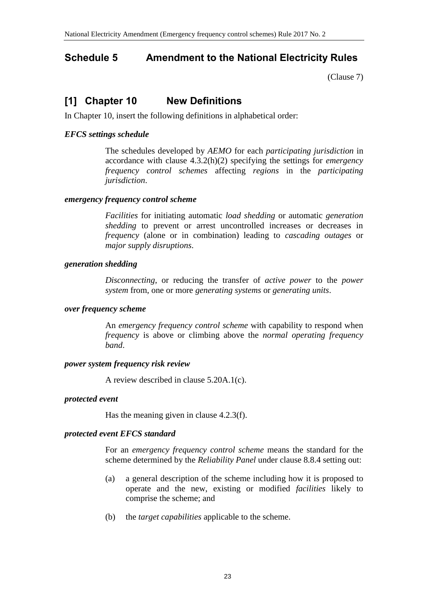## <span id="page-22-0"></span>**Schedule 5 Amendment to the National Electricity Rules**

[\(Clause 7\)](#page-1-4)

# **[1] Chapter 10 New Definitions**

In Chapter 10, insert the following definitions in alphabetical order:

#### *EFCS settings schedule*

The schedules developed by *AEMO* for each *participating jurisdiction* in accordance with clause 4.3.2(h)(2) specifying the settings for *emergency frequency control schemes* affecting *regions* in the *participating jurisdiction*.

#### *emergency frequency control scheme*

*Facilities* for initiating automatic *load shedding* or automatic *generation shedding* to prevent or arrest uncontrolled increases or decreases in *frequency* (alone or in combination) leading to *cascading outages* or *major supply disruptions*.

#### *generation shedding*

*Disconnecting*, or reducing the transfer of *active power* to the *power system* from, one or more *generating systems* or *generating units*.

#### *over frequency scheme*

An *emergency frequency control scheme* with capability to respond when *frequency* is above or climbing above the *normal operating frequency band*.

#### *power system frequency risk review*

A review described in clause 5.20A.1(c).

#### *protected event*

Has the meaning given in clause 4.2.3(f).

#### *protected event EFCS standard*

For an *emergency frequency control scheme* means the standard for the scheme determined by the *Reliability Panel* under clause 8.8.4 setting out:

- (a) a general description of the scheme including how it is proposed to operate and the new, existing or modified *facilities* likely to comprise the scheme; and
- (b) the *target capabilities* applicable to the scheme.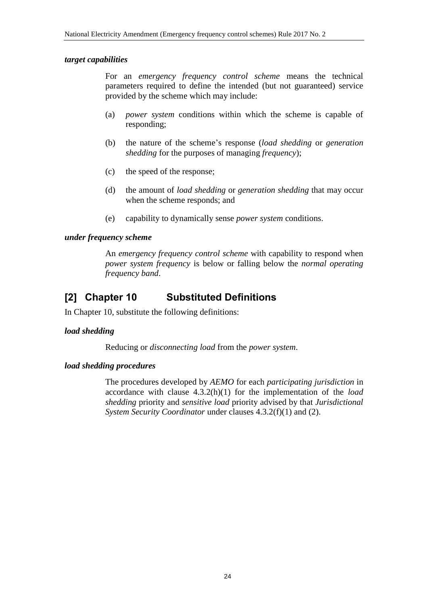#### *target capabilities*

For an *emergency frequency control scheme* means the technical parameters required to define the intended (but not guaranteed) service provided by the scheme which may include:

- (a) *power system* conditions within which the scheme is capable of responding;
- (b) the nature of the scheme's response (*load shedding* or *generation shedding* for the purposes of managing *frequency*);
- (c) the speed of the response;
- (d) the amount of *load shedding* or *generation shedding* that may occur when the scheme responds; and
- (e) capability to dynamically sense *power system* conditions.

#### *under frequency scheme*

An *emergency frequency control scheme* with capability to respond when *power system frequency* is below or falling below the *normal operating frequency band*.

### **[2] Chapter 10 Substituted Definitions**

In Chapter 10, substitute the following definitions:

#### *load shedding*

Reducing or *disconnecting load* from the *power system*.

#### *load shedding procedures*

The procedures developed by *AEMO* for each *participating jurisdiction* in accordance with clause 4.3.2(h)(1) for the implementation of the *load shedding* priority and *sensitive load* priority advised by that *Jurisdictional System Security Coordinator* under clauses 4.3.2(f)(1) and (2).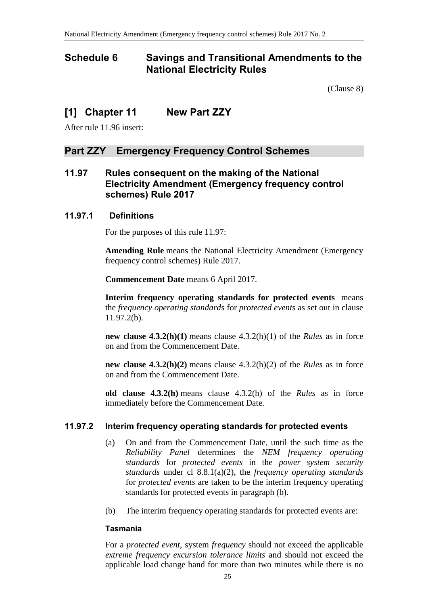### <span id="page-24-0"></span>**Schedule 6 Savings and Transitional Amendments to the National Electricity Rules**

[\(Clause 8\)](#page-1-5)

### **[1] Chapter 11 New Part ZZY**

After rule 11.96 insert:

#### **Part ZZY Emergency Frequency Control Schemes**

#### **11.97 Rules consequent on the making of the National Electricity Amendment (Emergency frequency control schemes) Rule 2017**

#### **11.97.1 Definitions**

For the purposes of this rule 11.97:

**Amending Rule** means the National Electricity Amendment (Emergency frequency control schemes) Rule 2017.

**Commencement Date** means 6 April 2017.

**Interim frequency operating standards for protected events** means the *frequency operating standards* for *protected events* as set out in clause 11.97.2(b).

**new clause 4.3.2(h)(1)** means clause 4.3.2(h)(1) of the *Rules* as in force on and from the Commencement Date.

**new clause 4.3.2(h)(2)** means clause 4.3.2(h)(2) of the *Rules* as in force on and from the Commencement Date.

**old clause 4.3.2(h)** means clause 4.3.2(h) of the *Rules* as in force immediately before the Commencement Date.

#### **11.97.2 Interim frequency operating standards for protected events**

- (a) On and from the Commencement Date, until the such time as the *Reliability Panel* determines the *NEM frequency operating standards* for *protected events* in the *power system security standards* under cl 8.8.1(a)(2), the *frequency operating standards* for *protected events* are taken to be the interim frequency operating standards for protected events in paragraph (b).
- (b) The interim frequency operating standards for protected events are:

#### **Tasmania**

For a *protected event*, system *frequency* should not exceed the applicable *extreme frequency excursion tolerance limits* and should not exceed the applicable load change band for more than two minutes while there is no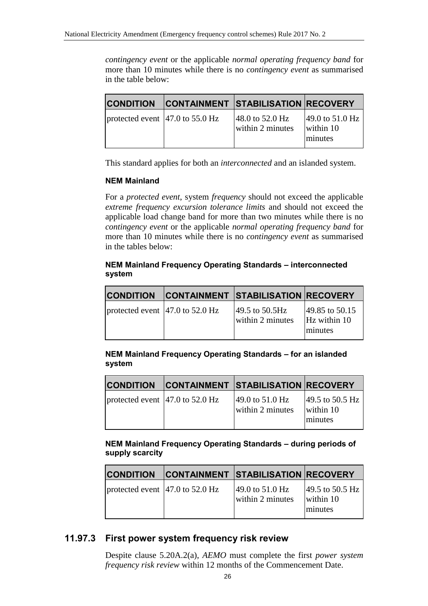*contingency event* or the applicable *normal operating frequency band* for more than 10 minutes while there is no *contingency event* as summarised in the table below:

| <b>CONDITION</b>                                     | <b>CONTAINMENT STABILISATION RECOVERY</b>     |                                                 |
|------------------------------------------------------|-----------------------------------------------|-------------------------------------------------|
| protected event $ 47.0 \text{ to } 55.0 \text{ Hz} $ | 48.0 to $52.0 \text{ Hz}$<br>within 2 minutes | 49.0 to 51.0 Hz<br>within 10<br><b>Iminutes</b> |

This standard applies for both an *interconnected* and an islanded system.

#### **NEM Mainland**

For a *protected event*, system *frequency* should not exceed the applicable *extreme frequency excursion tolerance limits* and should not exceed the applicable load change band for more than two minutes while there is no *contingency event* or the applicable *normal operating frequency band* for more than 10 minutes while there is no *contingency event* as summarised in the tables below:

#### **NEM Mainland Frequency Operating Standards – interconnected system**

| <b>CONDITION</b>                                     | <b>CONTAINMENT STABILISATION RECOVERY</b>    |                                           |
|------------------------------------------------------|----------------------------------------------|-------------------------------------------|
| protected event $ 47.0 \text{ to } 52.0 \text{ Hz} $ | 49.5 to $50.5 \text{Hz}$<br>within 2 minutes | 49.85 to 50.15<br>Hz within 10<br>minutes |

**NEM Mainland Frequency Operating Standards – for an islanded system** 

| <b>CONDITION</b>                                     | <b>CONTAINMENT STABILISATION RECOVERY</b>                |                                         |
|------------------------------------------------------|----------------------------------------------------------|-----------------------------------------|
| protected event $ 47.0 \text{ to } 52.0 \text{ Hz} $ | $ 49.0 \text{ to } 51.0 \text{ Hz} $<br>within 2 minutes | 49.5 to 50.5 Hz<br>within 10<br>minutes |

#### **NEM Mainland Frequency Operating Standards – during periods of supply scarcity**

| <b>CONDITION</b>                                     | <b>CONTAINMENT STABILISATION RECOVERY</b> |                                         |
|------------------------------------------------------|-------------------------------------------|-----------------------------------------|
| protected event $ 47.0 \text{ to } 52.0 \text{ Hz} $ | $49.0$ to 51.0 Hz<br>within 2 minutes     | 49.5 to 50.5 Hz<br>within 10<br>minutes |

### **11.97.3 First power system frequency risk review**

Despite clause 5.20A.2(a), *AEMO* must complete the first *power system frequency risk review* within 12 months of the Commencement Date.